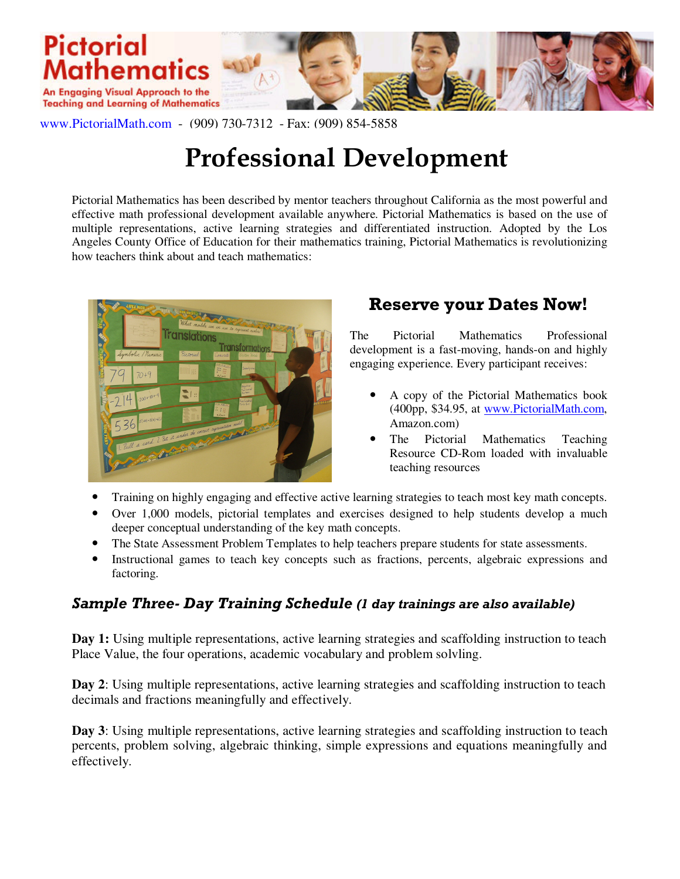

www.PictorialMath.com - (909) 730-7312 - Fax: (909) 854-5858

# Professional Development

Pictorial Mathematics has been described by mentor teachers throughout California as the most powerful and effective math professional development available anywhere. Pictorial Mathematics is based on the use of multiple representations, active learning strategies and differentiated instruction. Adopted by the Los Angeles County Office of Education for their mathematics training, Pictorial Mathematics is revolutionizing how teachers think about and teach mathematics:



## Reserve your Dates Now!

The Pictorial Mathematics Professional development is a fast-moving, hands-on and highly engaging experience. Every participant receives:

- A copy of the Pictorial Mathematics book (400pp, \$34.95, at www.PictorialMath.com, Amazon.com)
- The Pictorial Mathematics Teaching Resource CD-Rom loaded with invaluable teaching resources
- Training on highly engaging and effective active learning strategies to teach most key math concepts.
- Over 1,000 models, pictorial templates and exercises designed to help students develop a much deeper conceptual understanding of the key math concepts.
- The State Assessment Problem Templates to help teachers prepare students for state assessments.
- Instructional games to teach key concepts such as fractions, percents, algebraic expressions and factoring.

#### Sample Three- Day Training Schedule (1 day trainings are also available)

**Day 1:** Using multiple representations, active learning strategies and scaffolding instruction to teach Place Value, the four operations, academic vocabulary and problem solvling.

**Day 2**: Using multiple representations, active learning strategies and scaffolding instruction to teach decimals and fractions meaningfully and effectively.

**Day 3**: Using multiple representations, active learning strategies and scaffolding instruction to teach percents, problem solving, algebraic thinking, simple expressions and equations meaningfully and effectively.